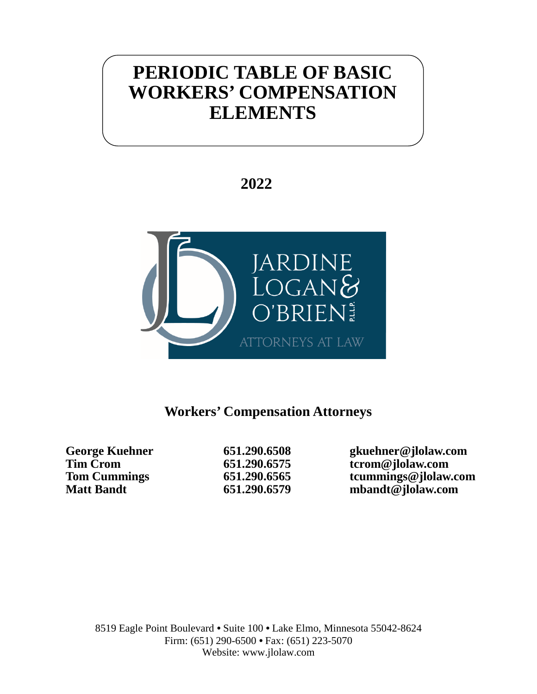# **PERIODIC TABLE OF BASIC WORKERS' COMPENSATION ELEMENTS**

**2022**



# **Workers' Compensation Attorneys**

**George Kuehner 651.290.6508 gkuehner@jlolaw.com** Tim Crom **651.290.6575 terom** discussed to the Cummings (and the Cummings of the Gaussian of the Gaussian School of the Gaussian School of the Gaussian School of the Gaussian School of the Gaussian School of the Gaussian **Tom Cummings 651.290.6565 tcummings@jlolaw.com Matt Bandt 651.290.6579 mbandt@jlolaw.com**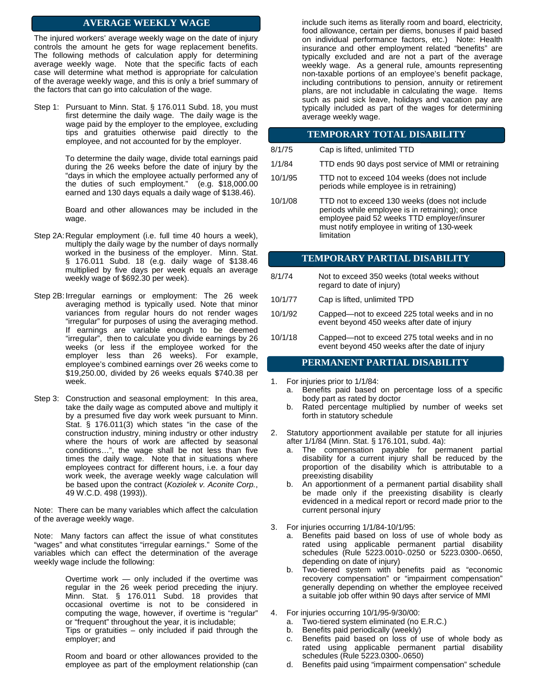The injured workers' average weekly wage on the date of injury controls the amount he gets for wage replacement benefits. The following methods of calculation apply for determining average weekly wage. Note that the specific facts of each case will determine what method is appropriate for calculation of the average weekly wage, and this is only a brief summary of the factors that can go into calculation of the wage.

Step 1: Pursuant to Minn. Stat. § 176.011 Subd. 18, you must first determine the daily wage. The daily wage is the wage paid by the employer to the employee, excluding tips and gratuities otherwise paid directly to the employee, and not accounted for by the employer.

> To determine the daily wage, divide total earnings paid during the 26 weeks before the date of injury by the "days in which the employee actually performed any of the duties of such employment." (e.g. \$18,000.00 earned and 130 days equals a daily wage of \$138.46).

> Board and other allowances may be included in the wage.

- Step 2A: Regular employment (i.e. full time 40 hours a week), multiply the daily wage by the number of days normally worked in the business of the employer. Minn. Stat. § 176.011 Subd. 18 (e.g. daily wage of \$138.46 multiplied by five days per week equals an average weekly wage of \$692.30 per week).
- Step 2B: Irregular earnings or employment: The 26 week averaging method is typically used. Note that minor variances from regular hours do not render wages "irregular" for purposes of using the averaging method. If earnings are variable enough to be deemed "irregular", then to calculate you divide earnings by 26 weeks (or less if the employee worked for the employer less than 26 weeks). For example, employee's combined earnings over 26 weeks come to \$19,250.00, divided by 26 weeks equals \$740.38 per week.
- Step 3: Construction and seasonal employment: In this area, take the daily wage as computed above and multiply it by a presumed five day work week pursuant to Minn. Stat. § 176.011(3) which states "in the case of the construction industry, mining industry or other industry where the hours of work are affected by seasonal conditions…", the wage shall be not less than five times the daily wage. Note that in situations where employees contract for different hours, i.e. a four day work week, the average weekly wage calculation will be based upon the contract (*Koziolek v. Aconite Corp.*, 49 W.C.D. 498 (1993)).

Note: There can be many variables which affect the calculation of the average weekly wage.

Note: Many factors can affect the issue of what constitutes "wages" and what constitutes "irregular earnings." Some of the variables which can effect the determination of the average weekly wage include the following:

> Overtime work — only included if the overtime was regular in the 26 week period preceding the injury. Minn. Stat. § 176.011 Subd. 18 provides that occasional overtime is not to be considered in computing the wage, however, if overtime is "regular" or "frequent" throughout the year, it is includable;

> Tips or gratuities – only included if paid through the employer; and

> Room and board or other allowances provided to the employee as part of the employment relationship (can

**AVERAGE WEEKLY WAGE** include such items as literally room and board, electricity, food allowance, certain per diems, bonuses if paid based on individual performance factors, etc.) Note: Health insurance and other employment related "benefits" are typically excluded and are not a part of the average weekly wage. As a general rule, amounts representing non-taxable portions of an employee's benefit package, including contributions to pension, annuity or retirement plans, are not includable in calculating the wage. Items such as paid sick leave, holidays and vacation pay are typically included as part of the wages for determining average weekly wage.

|         | <b>TEMPORARY TOTAL DISABILITY</b>                                                         |
|---------|-------------------------------------------------------------------------------------------|
| 8/1/75  | Cap is lifted, unlimited TTD                                                              |
| 1/1/84  | TTD ends 90 days post service of MMI or retraining                                        |
| 10/1/95 | TTD not to exceed 104 weeks (does not include<br>periods while employee is in retraining) |

10/1/08 TTD not to exceed 130 weeks (does not include periods while employee is in retraining); once employee paid 52 weeks TTD employer/insurer must notify employee in writing of 130-week limitation

#### **TEMPORARY PARTIAL DISABILITY**

- 8/1/74 Not to exceed 350 weeks (total weeks without regard to date of injury)
- 10/1/77 Cap is lifted, unlimited TPD
- 10/1/92 Capped—not to exceed 225 total weeks and in no event beyond 450 weeks after date of injury
- 10/1/18 Capped—not to exceed 275 total weeks and in no event beyond 450 weeks after the date of injury

#### **PERMANENT PARTIAL DISABILITY**

- 1. For injuries prior to 1/1/84:
	- a. Benefits paid based on percentage loss of a specific body part as rated by doctor
	- b. Rated percentage multiplied by number of weeks set forth in statutory schedule
- 2. Statutory apportionment available per statute for all injuries after 1/1/84 (Minn. Stat. § 176.101, subd. 4a):
	- a. The compensation payable for permanent partial disability for a current injury shall be reduced by the proportion of the disability which is attributable to a preexisting disability
	- b. An apportionment of a permanent partial disability shall be made only if the preexisting disability is clearly evidenced in a medical report or record made prior to the current personal injury
- 3. For injuries occurring 1/1/84-10/1/95:
	- a. Benefits paid based on loss of use of whole body as rated using applicable permanent partial disability schedules (Rule 5223.0010-.0250 or 5223.0300-.0650, depending on date of injury)
	- b. Two-tiered system with benefits paid as "economic recovery compensation" or "impairment compensation" generally depending on whether the employee received a suitable job offer within 90 days after service of MMI
- 4. For injuries occurring 10/1/95-9/30/00:
	- a. Two-tiered system eliminated (no E.R.C.)
	- b. Benefits paid periodically (weekly)
		- c. Benefits paid based on loss of use of whole body as rated using applicable permanent partial disability schedules (Rule 5223.0300-.0650)
		- d. Benefits paid using "impairment compensation" schedule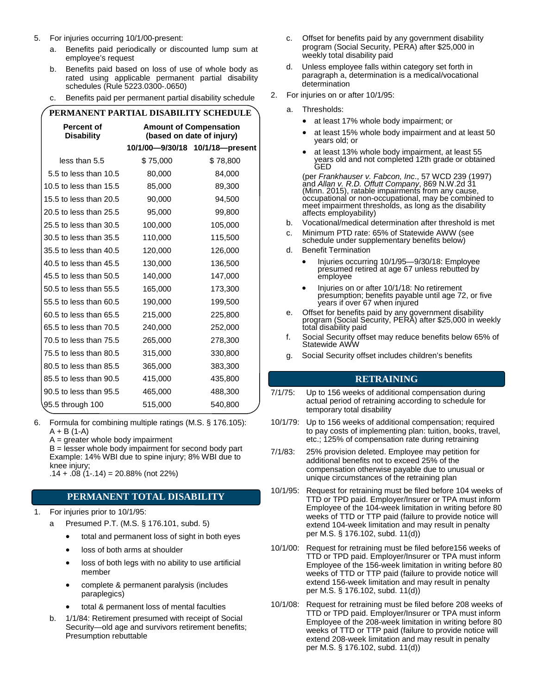- 5. For injuries occurring 10/1/00-present:
	- a. Benefits paid periodically or discounted lump sum at employee's request
	- b. Benefits paid based on loss of use of whole body as rated using applicable permanent partial disability schedules (Rule 5223.0300-.0650)
	- c. Benefits paid per permanent partial disability schedule

| PERMANENT PARTIAL DISABILITY SCHEDULE  |          |                                                            |  |  |  |
|----------------------------------------|----------|------------------------------------------------------------|--|--|--|
| <b>Percent of</b><br><b>Disability</b> |          | <b>Amount of Compensation</b><br>(based on date of injury) |  |  |  |
|                                        |          | 10/1/00-9/30/18 10/1/18-present                            |  |  |  |
| less than 5.5                          | \$75,000 | \$78,800                                                   |  |  |  |
| 5.5 to less than 10.5                  | 80,000   | 84,000                                                     |  |  |  |
| 10.5 to less than 15.5                 | 85,000   | 89,300                                                     |  |  |  |
| 15.5 to less than 20.5                 | 90,000   | 94,500                                                     |  |  |  |
| 20.5 to less than 25.5                 | 95,000   | 99,800                                                     |  |  |  |
| 25.5 to less than 30.5                 | 100,000  | 105,000                                                    |  |  |  |
| 30.5 to less than 35.5                 | 110,000  | 115,500                                                    |  |  |  |
| 35.5 to less than 40.5                 | 120,000  | 126,000                                                    |  |  |  |
| 40.5 to less than 45.5                 | 130,000  | 136,500                                                    |  |  |  |
| 45.5 to less than 50.5                 | 140,000  | 147,000                                                    |  |  |  |
| 50.5 to less than 55.5                 | 165,000  | 173,300                                                    |  |  |  |
| 55.5 to less than 60.5                 | 190,000  | 199,500                                                    |  |  |  |
| 60.5 to less than 65.5                 | 215,000  | 225,800                                                    |  |  |  |
| 65.5 to less than 70.5                 | 240,000  | 252,000                                                    |  |  |  |
| 70.5 to less than 75.5                 | 265,000  | 278,300                                                    |  |  |  |
| 75.5 to less than 80.5                 | 315,000  | 330,800                                                    |  |  |  |
| 80.5 to less than 85.5                 | 365,000  | 383,300                                                    |  |  |  |
| 85.5 to less than 90.5                 | 415,000  | 435,800                                                    |  |  |  |
| 90.5 to less than 95.5                 | 465,000  | 488,300                                                    |  |  |  |
| 95.5 through 100                       | 515,000  | 540,800                                                    |  |  |  |
|                                        |          |                                                            |  |  |  |

- 6. Formula for combining multiple ratings (M.S. § 176.105):  $A + B (1-A)$ 
	- $A =$  greater whole body impairment

 $B =$  lesser whole body impairment for second body part Example: 14% WBI due to spine injury; 8% WBI due to knee injury; .14 + .08 (1-.14) = 20.88% (not 22%)

# **PERMANENT TOTAL DISABILITY**

- 1. For injuries prior to 10/1/95:
	- a Presumed P.T. (M.S. § 176.101, subd. 5)
		- total and permanent loss of sight in both eyes
		- loss of both arms at shoulder
		- loss of both legs with no ability to use artificial member
		- complete & permanent paralysis (includes paraplegics)
		- total & permanent loss of mental faculties
	- b. 1/1/84: Retirement presumed with receipt of Social Security—old age and survivors retirement benefits; Presumption rebuttable
- c. Offset for benefits paid by any government disability program (Social Security, PERA) after \$25,000 in weekly total disability paid
- d. Unless employee falls within category set forth in paragraph a, determination is a medical/vocational determination
- 2. For injuries on or after 10/1/95:
	- a. Thresholds:
		- at least 17% whole body impairment; or
		- at least 15% whole body impairment and at least 50 years old; or
		- at least 13% whole body impairment, at least 55 years old and not completed 12th grade or obtained GED

(per *Frankhauser v. Fabcon, Inc*., 57 WCD 239 (1997) and *Allan v. R.D. Offutt Company*, 869 N.W.2d 31 (Minn. 2015), ratable impairments from any cause, occupational or non-occupational, may be combined to meet impairment thresholds, as long as the disability affects employability)

- b. Vocational/medical determination after threshold is met
- c. Minimum PTD rate: 65% of Statewide AWW (see schedule under supplementary benefits below)
- d. Benefit Termination
	- Injuries occurring 10/1/95—9/30/18: Employee presumed retired at age 67 unless rebutted by employee
	- Injuries on or after 10/1/18: No retirement presumption; benefits payable until age 72, or five years if over 67 when injured
- e. Offset for benefits paid by any government disability program (Social Security, PERA) after \$25,000 in weekly total disability paid
- f. Social Security offset may reduce benefits below 65% of Statewide AWW
- g. Social Security offset includes children's benefits

# **RETRAINING**

- 7/1/75: Up to 156 weeks of additional compensation during actual period of retraining according to schedule for temporary total disability
- 10/1/79: Up to 156 weeks of additional compensation; required to pay costs of implementing plan: tuition, books, travel, etc.; 125% of compensation rate during retraining
- 7/1/83: 25% provision deleted. Employee may petition for additional benefits not to exceed 25% of the compensation otherwise payable due to unusual or unique circumstances of the retraining plan
- 10/1/95: Request for retraining must be filed before 104 weeks of TTD or TPD paid. Employer/Insurer or TPA must inform Employee of the 104-week limitation in writing before 80 weeks of TTD or TTP paid (failure to provide notice will extend 104-week limitation and may result in penalty per M.S. § 176.102, subd. 11(d))
- 10/1/00: Request for retraining must be filed before156 weeks of TTD or TPD paid. Employer/Insurer or TPA must inform Employee of the 156-week limitation in writing before 80 weeks of TTD or TTP paid (failure to provide notice will extend 156-week limitation and may result in penalty per M.S. § 176.102, subd. 11(d))
- 10/1/08: Request for retraining must be filed before 208 weeks of TTD or TPD paid. Employer/Insurer or TPA must inform Employee of the 208-week limitation in writing before 80 weeks of TTD or TTP paid (failure to provide notice will extend 208-week limitation and may result in penalty per M.S. § 176.102, subd. 11(d))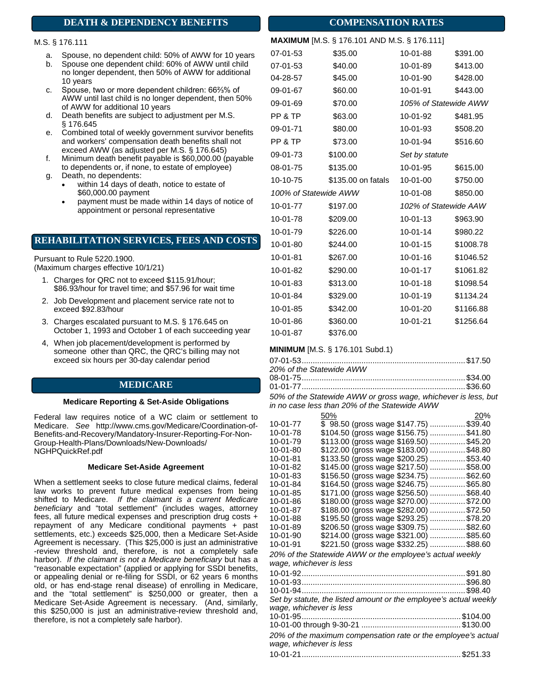# **DEATH & DEPENDENCY BENEFITS**

# M.S. § 176.111

- a. Spouse, no dependent child: 50% of AWW for 10 years
- b. Spouse one dependent child: 60% of AWW until child no longer dependent, then 50% of AWW for additional 10 years
- c. Spouse, two or more dependent children: 66⅔% of AWW until last child is no longer dependent, then 50% of AWW for additional 10 years
- d. Death benefits are subject to adjustment per M.S. § 176.645
- e. Combined total of weekly government survivor benefits and workers' compensation death benefits shall not exceed AWW (as adjusted per M.S. § 176.645)
- f. Minimum death benefit payable is \$60,000.00 (payable to dependents or, if none, to estate of employee) g. Death, no dependents:
	- within 14 days of death, notice to estate of \$60,000.00 payment
		- payment must be made within 14 days of notice of appointment or personal representative

# **REHABILITATION SERVICES, FEES AND COSTS**

Pursuant to Rule 5220.1900. (Maximum charges effective 10/1/21)

- 1. Charges for QRC not to exceed \$115.91/hour; \$86.93/hour for travel time; and \$57.96 for wait time
- 2. Job Development and placement service rate not to exceed \$92.83/hour
- 3. Charges escalated pursuant to M.S. § 176.645 on October 1, 1993 and October 1 of each succeeding year
- 4, When job placement/development is performed by someone other than QRC, the QRC's billing may not exceed six hours per 30-day calendar period

# **MEDICARE**

#### **Medicare Reporting & Set-Aside Obligations**

Federal law requires notice of a WC claim or settlement to Medicare. *See* http://www.cms.gov/Medicare/Coordination-of-Benefits-and-Recovery/Mandatory-Insurer-Reporting-For-Non-Group-Health-Plans/Downloads/New-Downloads/ NGHPQuickRef.pdf

### **Medicare Set-Aside Agreement**

When a settlement seeks to close future medical claims, federal law works to prevent future medical expenses from being shifted to Medicare. *If the claimant is a current Medicare beneficiary* and "total settlement" (includes wages, attorney fees, all future medical expenses and prescription drug costs + repayment of any Medicare conditional payments + past settlements, etc.) exceeds \$25,000, then a Medicare Set-Aside Agreement is necessary. (This \$25,000 is just an administrative -review threshold and, therefore, is not a completely safe harbor). *If the claimant is not a Medicare beneficiary* but has a "reasonable expectation" (applied or applying for SSDI benefits, or appealing denial or re-filing for SSDI, or 62 years 6 months old, or has end-stage renal disease) of enrolling in Medicare, and the "total settlement" is \$250,000 or greater, then a Medicare Set-Aside Agreement is necessary. (And, similarly, this \$250,000 is just an administrative-review threshold and, therefore, is not a completely safe harbor).

|                       | <b>MAAIMUM</b> [M.S. § 170.101 AND M.S. § 170.111] |                       |           |
|-----------------------|----------------------------------------------------|-----------------------|-----------|
| 07-01-53              | \$35.00                                            | 10-01-88              | \$391.00  |
| 07-01-53              | \$40.00                                            | 10-01-89              | \$413.00  |
| 04-28-57              | \$45.00                                            | 10-01-90              | \$428.00  |
| 09-01-67              | \$60.00                                            | 10-01-91              | \$443.00  |
| 09-01-69              | \$70.00                                            | 105% of Statewide AWW |           |
| PP & TP               | \$63.00                                            | 10-01-92              | \$481.95  |
| 09-01-71              | \$80.00                                            | 10-01-93              | \$508.20  |
| PP & TP               | \$73.00                                            | 10-01-94              | \$516.60  |
| 09-01-73              | \$100.00                                           | Set by statute        |           |
| 08-01-75              | \$135.00                                           | 10-01-95              | \$615.00  |
| 10-10-75              | \$135.00 on fatals                                 | 10-01-00              | \$750.00  |
| 100% of Statewide AWW |                                                    | 10-01-08              | \$850.00  |
| 10-01-77              | \$197.00                                           | 102% of Statewide AAW |           |
| 10-01-78              | \$209.00                                           | 10-01-13              | \$963.90  |
| 10-01-79              | \$226.00                                           | 10-01-14              | \$980.22  |
| $10 - 01 - 80$        | \$244.00                                           | 10-01-15              | \$1008.78 |
| 10-01-81              | \$267.00                                           | 10-01-16              | \$1046.52 |
| 10-01-82              | \$290.00                                           | 10-01-17              | \$1061.82 |
| 10-01-83              | \$313.00                                           | $10 - 01 - 18$        | \$1098.54 |
| 10-01-84              | \$329.00                                           | 10-01-19              | \$1134.24 |
| 10-01-85              | \$342.00                                           | 10-01-20              | \$1166.88 |
| 10-01-86              | \$360.00                                           | 10-01-21              | \$1256.64 |

## **MINIMUM** [M.S. § 176.101 Subd.1)

10-01-87 \$376.00

| 20% of the Statewide AWW |  |
|--------------------------|--|
|                          |  |
|                          |  |

*50% of the Statewide AWW or gross wage, whichever is less, but in no case less than 20% of the Statewide AWW*

|                         | 50%                                                               | 20% |
|-------------------------|-------------------------------------------------------------------|-----|
| 10-01-77                | \$98.50 (gross wage \$147.75) \$39.40                             |     |
| 10-01-78                | \$104.50 (gross wage \$156.75)  \$41.80                           |     |
| 10-01-79                | \$113.00 (gross wage \$169.50) \$45.20                            |     |
| 10-01-80                | \$122.00 (gross wage \$183.00) \$48.80                            |     |
| 10-01-81                | \$133.50 (gross wage \$200.25)  \$53.40                           |     |
| 10-01-82                | \$145.00 (gross wage \$217.50) \$58.00                            |     |
| 10-01-83                | \$156.50 (gross wage \$234.75) \$62.60                            |     |
| 10-01-84                | \$164.50 (gross wage \$246.75) \$65.80                            |     |
| 10-01-85                | \$171.00 (gross wage \$256.50) \$68.40                            |     |
| 10-01-86                | \$180.00 (gross wage \$270.00)  \$72.00                           |     |
| 10-01-87                | \$188.00 (gross wage \$282.00)  \$72.50                           |     |
| 10-01-88                | \$195.50 (gross wage \$293.25)  \$78.20                           |     |
| 10-01-89                | \$206.50 (gross wage \$309.75) \$82.60                            |     |
| 10-01-90                | \$214.00 (gross wage \$321.00)  \$85.60                           |     |
| 10-01-91                | \$221.50 (gross wage \$332.25) \$88.60                            |     |
|                         | 20% of the Statewide AWW or the employee's actual weekly          |     |
| wage, whichever is less |                                                                   |     |
|                         |                                                                   |     |
|                         |                                                                   |     |
|                         |                                                                   |     |
|                         | Set by statute, the listed amount or the employee's actual weekly |     |
| wage, whichever is less |                                                                   |     |
|                         |                                                                   |     |
|                         |                                                                   |     |
|                         | 20% of the maximum compensation rate or the employee's actual     |     |
| wage, whichever is less |                                                                   |     |
|                         |                                                                   |     |

# **COMPENSATION RATES**

**MAXIMUM** [M.S. § 176.101 AND M.S. § 176.111]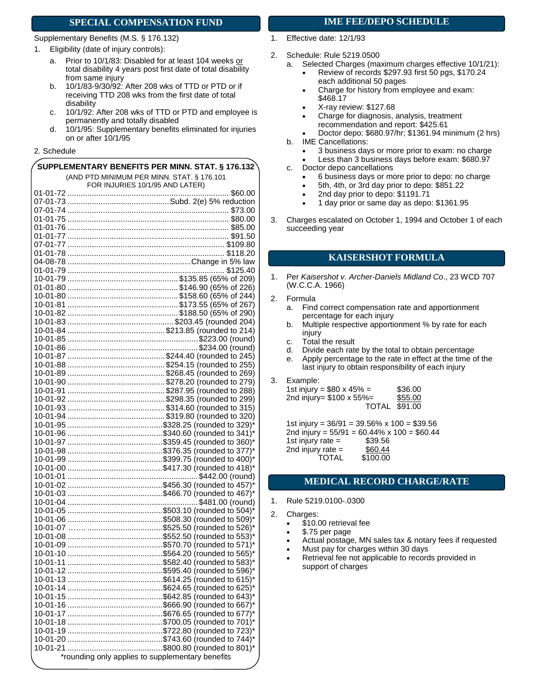# **SPECIAL COMPENSATION FUND**

#### Supplementary Benefits (M.S. § 176.132)

- 1. Eligibility (date of injury controls):
	- a. Prior to 10/1/83: Disabled for at least 104 weeks or total disability 4 years post first date of total disability from same injury
	- b. 10/1/83-9/30/92: After 208 wks of TTD or PTD or if receiving TTD 208 wks from the first date of total disability
	- c. 10/1/92: After 208 wks of TTD or PTD and employee is permanently and totally disabled
	- d. 10/1/95: Supplementary benefits eliminated for injuries on or after 10/1/95

# 2. Schedule

| SUPPLEMENTARY BENEFITS PER MINN. STAT. § 176.132 |  |
|--------------------------------------------------|--|
| (AND PTD MINIMUM PER MINN. STAT. § 176.101       |  |
| FOR INJURIES 10/1/95 AND LATER)                  |  |
|                                                  |  |
|                                                  |  |
|                                                  |  |
|                                                  |  |
|                                                  |  |
|                                                  |  |
|                                                  |  |
|                                                  |  |
|                                                  |  |
|                                                  |  |
|                                                  |  |
|                                                  |  |
|                                                  |  |
|                                                  |  |
|                                                  |  |
|                                                  |  |
|                                                  |  |
|                                                  |  |
|                                                  |  |
|                                                  |  |
|                                                  |  |
|                                                  |  |
|                                                  |  |
|                                                  |  |
|                                                  |  |
|                                                  |  |
|                                                  |  |
|                                                  |  |
|                                                  |  |
|                                                  |  |
|                                                  |  |
|                                                  |  |
|                                                  |  |
|                                                  |  |
|                                                  |  |
|                                                  |  |
|                                                  |  |
|                                                  |  |
|                                                  |  |
|                                                  |  |
|                                                  |  |
|                                                  |  |
|                                                  |  |
|                                                  |  |
|                                                  |  |
|                                                  |  |
|                                                  |  |
|                                                  |  |
|                                                  |  |
|                                                  |  |
|                                                  |  |
|                                                  |  |
|                                                  |  |
|                                                  |  |
| *rounding only applies to supplementary benefits |  |

# **IME FEE/DEPO SCHEDULE**

- 1. Effective date: 12/1/93
- 2. Schedule: Rule 5219.0500
	- a. Selected Charges (maximum charges effective 10/1/21):
		- Review of records \$297.93 first 50 pgs, \$170.24 each additional 50 pages
		- Charge for history from employee and exam: \$468.17
		- X-ray review: \$127.68
		- Charge for diagnosis, analysis, treatment recommendation and report: \$425.61
	- Doctor depo: \$680.97/hr; \$1361.94 minimum (2 hrs) b. IME Cancellations:
		- - 3 business days or more prior to exam: no charge Less than 3 business days before exam: \$680.97
	- c. Doctor depo cancellations
		- 6 business days or more prior to depo: no charge
		- 5th, 4th, or 3rd day prior to depo: \$851.22
		- 2nd day prior to depo: \$1191.71
		- 1 day prior or same day as depo: \$1361.95
- 3. Charges escalated on October 1, 1994 and October 1 of each succeeding year

# **KAISERSHOT FORMULA**

- 1. Per *Kaisershot v. Archer-Daniels Midland Co*., 23 WCD 707 (W.C.C.A. 1966)
- 2. Formula
	- a. Find correct compensation rate and apportionment percentage for each injury
	- b. Multiple respective apportionment % by rate for each injury
	- c. Total the result
	- d. Divide each rate by the total to obtain percentage
	- e. Apply percentage to the rate in effect at the time of the last injury to obtain responsibility of each injury
- 3. Example:

| 1st injury = $$80 \times 45\% =$ | \$36.00 |
|----------------------------------|---------|
| 2nd injury= $$100 \times 55\% =$ | \$55.00 |
| <b>TOTAL \$91.00</b>             |         |

1st injury = 36/91 = 39.56% x 100 = \$39.56 2nd injury =  $55/91 = 60.44\% \times 100 = $60.44$ 1st injury rate = \$39.56<br>2nd injury rate = \$60.44 = 2nd injury rate<br>TOTAL \$100.00

# **MEDICAL RECORD CHARGE/RATE**

- 1. Rule 5219.0100-.0300
- 2. Charges:
	- \$10.00 retrieval fee
	- \$.75 per page
	- Actual postage, MN sales tax & notary fees if requested
	- Must pay for charges within 30 days
	- Retrieval fee not applicable to records provided in support of charges